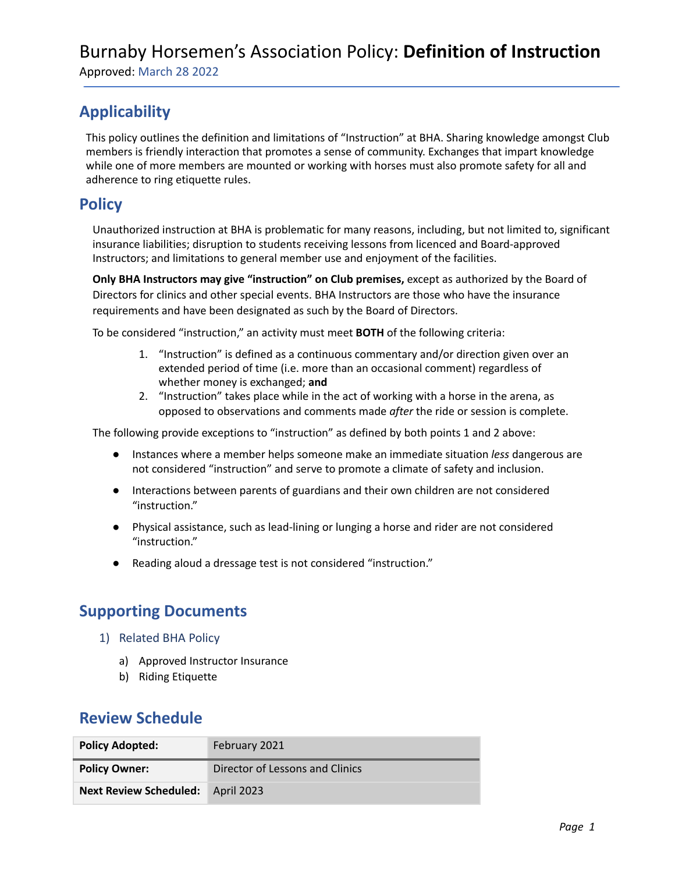Approved: March 28 2022

## **Applicability**

This policy outlines the definition and limitations of "Instruction" at BHA. Sharing knowledge amongst Club members is friendly interaction that promotes a sense of community. Exchanges that impart knowledge while one of more members are mounted or working with horses must also promote safety for all and adherence to ring etiquette rules.

### **Policy**

Unauthorized instruction at BHA is problematic for many reasons, including, but not limited to, significant insurance liabilities; disruption to students receiving lessons from licenced and Board-approved Instructors; and limitations to general member use and enjoyment of the facilities.

**Only BHA Instructors may give "instruction" on Club premises,** except as authorized by the Board of Directors for clinics and other special events. BHA Instructors are those who have the insurance requirements and have been designated as such by the Board of Directors.

To be considered "instruction," an activity must meet **BOTH** of the following criteria:

- 1. "Instruction" is defined as a continuous commentary and/or direction given over an extended period of time (i.e. more than an occasional comment) regardless of whether money is exchanged; **and**
- 2. "Instruction" takes place while in the act of working with a horse in the arena, as opposed to observations and comments made *after* the ride or session is complete.

The following provide exceptions to "instruction" as defined by both points 1 and 2 above:

- Instances where a member helps someone make an immediate situation *less* dangerous are not considered "instruction" and serve to promote a climate of safety and inclusion.
- Interactions between parents of guardians and their own children are not considered "instruction."
- Physical assistance, such as lead-lining or lunging a horse and rider are not considered "instruction."
- Reading aloud a dressage test is not considered "instruction."

### **Supporting Documents**

- 1) Related BHA Policy
	- a) Approved Instructor Insurance
	- b) Riding Etiquette

#### **Review Schedule**

| <b>Policy Adopted:</b>        | February 2021                   |
|-------------------------------|---------------------------------|
| <b>Policy Owner:</b>          | Director of Lessons and Clinics |
| <b>Next Review Scheduled:</b> | April 2023                      |